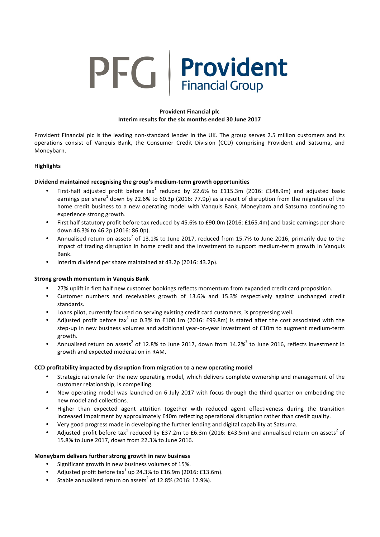# PFG | Provident

# **Provident Financial plc Interim results for the six months ended 30 June 2017**

Provident Financial plc is the leading non-standard lender in the UK. The group serves 2.5 million customers and its operations consist of Vanquis Bank, the Consumer Credit Division (CCD) comprising Provident and Satsuma, and Moneybarn.

# **Highlights**

# **Dividend maintained recognising the group's medium-term growth opportunities**

- First-half adjusted profit before tax<sup>1</sup> reduced by 22.6% to £115.3m (2016: £148.9m) and adjusted basic earnings per share<sup>1</sup> down by 22.6% to 60.3p (2016: 77.9p) as a result of disruption from the migration of the home credit business to a new operating model with Vanquis Bank, Moneybarn and Satsuma continuing to experience strong growth.
- First half statutory profit before tax reduced by 45.6% to £90.0m (2016: £165.4m) and basic earnings per share down 46.3% to 46.2p (2016: 86.0p).
- Annualised return on assets<sup>2</sup> of 13.1% to June 2017, reduced from 15.7% to June 2016, primarily due to the impact of trading disruption in home credit and the investment to support medium-term growth in Vanquis Bank.
- Interim dividend per share maintained at 43.2p (2016: 43.2p).

# **Strong growth momentum in Vanquis Bank**

- 27% uplift in first half new customer bookings reflects momentum from expanded credit card proposition.
- Customer numbers and receivables growth of 13.6% and 15.3% respectively against unchanged credit standards.
- Loans pilot, currently focused on serving existing credit card customers, is progressing well.
- Adjusted profit before tax<sup>1</sup> up 0.3% to £100.1m (2016: £99.8m) is stated after the cost associated with the step-up in new business volumes and additional vear-on-year investment of £10m to augment medium-term growth.
- Annualised return on assets<sup>2</sup> of 12.8% to June 2017, down from  $14.2\%$ <sup>3</sup> to June 2016, reflects investment in growth and expected moderation in RAM.

# **CCD** profitability impacted by disruption from migration to a new operating model

- Strategic rationale for the new operating model, which delivers complete ownership and management of the customer relationship, is compelling.
- New operating model was launched on 6 July 2017 with focus through the third quarter on embedding the new model and collections.
- Higher than expected agent attrition together with reduced agent effectiveness during the transition increased impairment by approximately £40m reflecting operational disruption rather than credit quality.
- Very good progress made in developing the further lending and digital capability at Satsuma.
- Adjusted profit before tax<sup>1</sup> reduced by £37.2m to £6.3m (2016: £43.5m) and annualised return on assets<sup>2</sup> of 15.8% to June 2017, down from 22.3% to June 2016.

# **Moneybarn delivers further strong growth in new business**

- Significant growth in new business volumes of 15%.
- Adjusted profit before  $\text{tax}^1$  up 24.3% to £16.9m (2016: £13.6m).
- Stable annualised return on assets<sup>2</sup> of 12.8% (2016: 12.9%).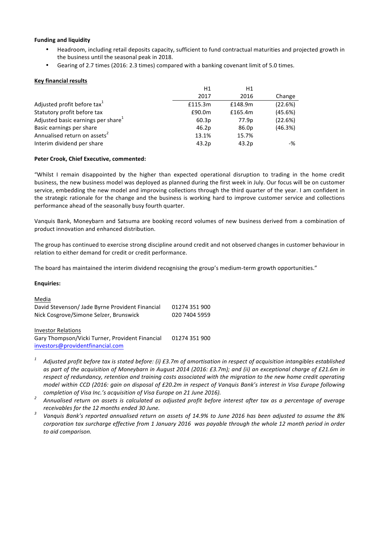## **Funding and liquidity**

- Headroom, including retail deposits capacity, sufficient to fund contractual maturities and projected growth in the business until the seasonal peak in 2018.
- Gearing of 2.7 times (2016: 2.3 times) compared with a banking covenant limit of 5.0 times.

## **Key financial results**

|                                                | H1      | H1      |         |
|------------------------------------------------|---------|---------|---------|
|                                                | 2017    | 2016    | Change  |
| Adjusted profit before tax <sup>1</sup>        | £115.3m | £148.9m | (22.6%) |
| Statutory profit before tax                    | £90.0m  | £165.4m | (45.6%) |
| Adjusted basic earnings per share <sup>1</sup> | 60.3p   | 77.9p   | (22.6%) |
| Basic earnings per share                       | 46.2p   | 86.0p   | (46.3%) |
| Annualised return on assets <sup>2</sup>       | 13.1%   | 15.7%   |         |
| Interim dividend per share                     | 43.2p   | 43.2p   | -%      |

## Peter Crook, Chief Executive, commented:

"Whilst I remain disappointed by the higher than expected operational disruption to trading in the home credit business, the new business model was deployed as planned during the first week in July. Our focus will be on customer service, embedding the new model and improving collections through the third quarter of the year. I am confident in the strategic rationale for the change and the business is working hard to improve customer service and collections performance ahead of the seasonally busy fourth quarter.

Vanquis Bank, Moneybarn and Satsuma are booking record volumes of new business derived from a combination of product innovation and enhanced distribution.

The group has continued to exercise strong discipline around credit and not observed changes in customer behaviour in relation to either demand for credit or credit performance.

The board has maintained the interim dividend recognising the group's medium-term growth opportunities."

## **Enquiries:**

| Media                                           |               |
|-------------------------------------------------|---------------|
| David Stevenson/ Jade Byrne Provident Financial | 01274 351 900 |
| Nick Cosgrove/Simone Selzer, Brunswick          | 020 7404 5959 |
| <b>Investor Relations</b>                       |               |
| Gary Thompson/Vicki Turner, Provident Financial | 01274 351 900 |
|                                                 |               |

investors@providentfinancial.com

- Adjusted profit before tax is stated before: (i) £3.7m of amortisation in respect of acquisition intangibles established as part of the acquisition of Moneybarn in August 2014 (2016: £3.7m); and (ii) an exceptional charge of £21.6m in *respect of redundancy, retention and training costs associated with the migration to the new home credit operating model* within CCD (2016: gain on disposal of £20.2m in respect of Vanquis Bank's interest in Visa Europe following
- completion of Visa Inc.'s acquisition of Visa Europe on 21 June 2016).<br><sup>2</sup> Annualised return on assets is calculated as adjusted profit before interest after tax as a percentage of average
- *receivables for the 12 months ended 30 June. 3 Vanquis Bank's reported annualised return on assets of 14.9% to June 2016 has been adjusted to assume the 8% corporation tax surcharge effective from 1 January 2016* was payable through the whole 12 month period in order *to aid comparison.*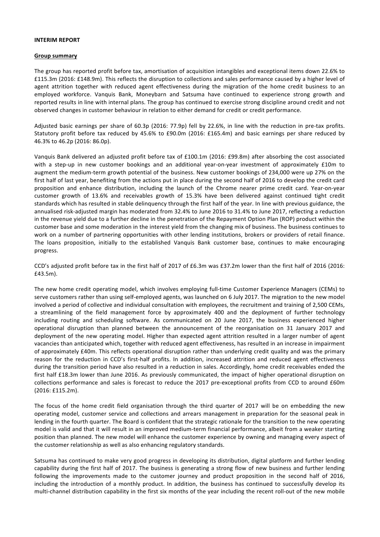#### **INTERIM REPORT**

## **Group summary**

The group has reported profit before tax, amortisation of acquisition intangibles and exceptional items down 22.6% to £115.3m (2016: £148.9m). This reflects the disruption to collections and sales performance caused by a higher level of agent attrition together with reduced agent effectiveness during the migration of the home credit business to an employed workforce. Vanquis Bank, Moneybarn and Satsuma have continued to experience strong growth and reported results in line with internal plans. The group has continued to exercise strong discipline around credit and not observed changes in customer behaviour in relation to either demand for credit or credit performance.

Adjusted basic earnings per share of  $60.3p$  (2016: 77.9p) fell by 22.6%, in line with the reduction in pre-tax profits. Statutory profit before tax reduced by 45.6% to £90.0m (2016: £165.4m) and basic earnings per share reduced by 46.3% to 46.2p (2016: 86.0p).

Vanquis Bank delivered an adjusted profit before tax of £100.1m (2016: £99.8m) after absorbing the cost associated with a step-up in new customer bookings and an additional year-on-year investment of approximately £10m to augment the medium-term growth potential of the business. New customer bookings of 234,000 were up 27% on the first half of last year, benefiting from the actions put in place during the second half of 2016 to develop the credit card proposition and enhance distribution, including the launch of the Chrome nearer prime credit card. Year-on-year customer growth of 13.6% and receivables growth of 15.3% have been delivered against continued tight credit standards which has resulted in stable delinquency through the first half of the year. In line with previous guidance, the annualised risk-adjusted margin has moderated from 32.4% to June 2016 to 31.4% to June 2017, reflecting a reduction in the revenue yield due to a further decline in the penetration of the Repayment Option Plan (ROP) product within the customer base and some moderation in the interest yield from the changing mix of business. The business continues to work on a number of partnering opportunities with other lending institutions, brokers or providers of retail finance. The loans proposition, initially to the established Vanquis Bank customer base, continues to make encouraging progress. 

CCD's adjusted profit before tax in the first half of 2017 of £6.3m was £37.2m lower than the first half of 2016 (2016: £43.5m). 

The new home credit operating model, which involves employing full-time Customer Experience Managers (CEMs) to serve customers rather than using self-employed agents, was launched on 6 July 2017. The migration to the new model involved a period of collective and individual consultation with employees, the recruitment and training of 2,500 CEMs, a streamlining of the field management force by approximately 400 and the deployment of further technology including routing and scheduling software. As communicated on 20 June 2017, the business experienced higher operational disruption than planned between the announcement of the reorganisation on 31 January 2017 and deployment of the new operating model. Higher than expected agent attrition resulted in a larger number of agent vacancies than anticipated which, together with reduced agent effectiveness, has resulted in an increase in impairment of approximately £40m. This reflects operational disruption rather than underlying credit quality and was the primary reason for the reduction in CCD's first-half profits. In addition, increased attrition and reduced agent effectiveness during the transition period have also resulted in a reduction in sales. Accordingly, home credit receivables ended the first half £18.3m lower than June 2016. As previously communicated, the impact of higher operational disruption on collections performance and sales is forecast to reduce the 2017 pre-exceptional profits from CCD to around £60m (2016: £115.2m).

The focus of the home credit field organisation through the third quarter of 2017 will be on embedding the new operating model, customer service and collections and arrears management in preparation for the seasonal peak in lending in the fourth quarter. The Board is confident that the strategic rationale for the transition to the new operating model is valid and that it will result in an improved medium-term financial performance, albeit from a weaker starting position than planned. The new model will enhance the customer experience by owning and managing every aspect of the customer relationship as well as also enhancing regulatory standards.

Satsuma has continued to make very good progress in developing its distribution, digital platform and further lending capability during the first half of 2017. The business is generating a strong flow of new business and further lending following the improvements made to the customer journey and product proposition in the second half of 2016, including the introduction of a monthly product. In addition, the business has continued to successfully develop its multi-channel distribution capability in the first six months of the year including the recent roll-out of the new mobile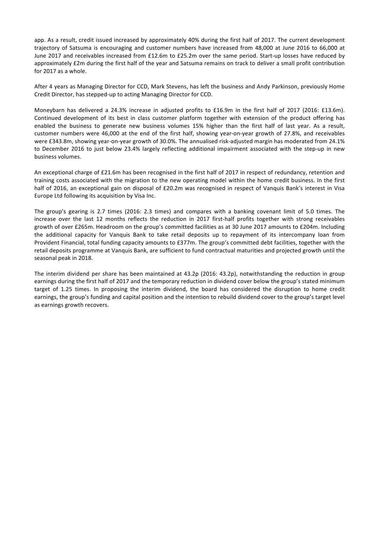app. As a result, credit issued increased by approximately 40% during the first half of 2017. The current development trajectory of Satsuma is encouraging and customer numbers have increased from 48,000 at June 2016 to 66,000 at June 2017 and receivables increased from £12.6m to £25.2m over the same period. Start-up losses have reduced by approximately £2m during the first half of the year and Satsuma remains on track to deliver a small profit contribution for 2017 as a whole.

After 4 years as Managing Director for CCD, Mark Stevens, has left the business and Andy Parkinson, previously Home Credit Director, has stepped-up to acting Managing Director for CCD.

Moneybarn has delivered a 24.3% increase in adjusted profits to £16.9m in the first half of 2017 (2016: £13.6m). Continued development of its best in class customer platform together with extension of the product offering has enabled the business to generate new business volumes 15% higher than the first half of last year. As a result, customer numbers were 46,000 at the end of the first half, showing year-on-year growth of 27.8%, and receivables were £343.8m, showing year-on-year growth of 30.0%. The annualised risk-adjusted margin has moderated from 24.1% to December 2016 to just below 23.4% largely reflecting additional impairment associated with the step-up in new business volumes.

An exceptional charge of £21.6m has been recognised in the first half of 2017 in respect of redundancy, retention and training costs associated with the migration to the new operating model within the home credit business. In the first half of 2016, an exceptional gain on disposal of £20.2m was recognised in respect of Vanquis Bank's interest in Visa Europe Ltd following its acquisition by Visa Inc.

The group's gearing is 2.7 times (2016: 2.3 times) and compares with a banking covenant limit of 5.0 times. The increase over the last 12 months reflects the reduction in 2017 first-half profits together with strong receivables growth of over £265m. Headroom on the group's committed facilities as at 30 June 2017 amounts to £204m. Including the additional capacity for Vanquis Bank to take retail deposits up to repayment of its intercompany loan from Provident Financial, total funding capacity amounts to £377m. The group's committed debt facilities, together with the retail deposits programme at Vanquis Bank, are sufficient to fund contractual maturities and projected growth until the seasonal peak in 2018.

The interim dividend per share has been maintained at  $43.2p$  (2016:  $43.2p$ ), notwithstanding the reduction in group earnings during the first half of 2017 and the temporary reduction in dividend cover below the group's stated minimum target of 1.25 times. In proposing the interim dividend, the board has considered the disruption to home credit earnings, the group's funding and capital position and the intention to rebuild dividend cover to the group's target level as earnings growth recovers.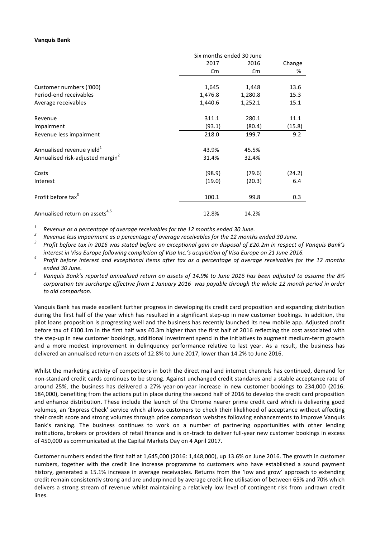# **Vanquis Bank**

|                                              | Six months ended 30 June |         |        |
|----------------------------------------------|--------------------------|---------|--------|
|                                              | 2017                     | 2016    | Change |
|                                              | £m                       | £m      | %      |
| Customer numbers ('000)                      |                          |         | 13.6   |
|                                              | 1,645                    | 1,448   |        |
| Period-end receivables                       | 1,476.8                  | 1,280.8 | 15.3   |
| Average receivables                          | 1,440.6                  | 1,252.1 | 15.1   |
| Revenue                                      | 311.1                    | 280.1   | 11.1   |
| Impairment                                   | (93.1)                   | (80.4)  | (15.8) |
| Revenue less impairment                      | 218.0                    | 199.7   | 9.2    |
| Annualised revenue yield <sup>1</sup>        | 43.9%                    | 45.5%   |        |
| Annualised risk-adjusted margin <sup>2</sup> | 31.4%                    | 32.4%   |        |
| Costs                                        | (98.9)                   | (79.6)  | (24.2) |
| Interest                                     | (19.0)                   | (20.3)  | 6.4    |
| Profit before tax <sup>3</sup>               | 100.1                    | 99.8    | 0.3    |
| Annualised return on assets <sup>4,5</sup>   | 12.8%                    | 14.2%   |        |

<sup>1</sup> Revenue as a percentage of average receivables for the 12 months ended 30 June.<br><sup>2</sup> Revenue less impairment as a percentage of average receivables for the 12 months ended 30 June.<br><sup>3</sup> Profit before tax in 2016 was sta

- interest in Visa Europe following completion of Visa Inc.'s acquisition of Visa Europe on 21 June 2016.<br>Profit before interest and exceptional items after tax as a percentage of average receivables for the 12 months
- *Fanded* 30 June.<br>Vanquis Bank's reported annualised return on assets of 14.9% to June 2016 has been adjusted to assume the 8% *corporation tax surcharge effective from 1 January 2016* was payable through the whole 12 month period in order *to aid comparison.*

Vanquis Bank has made excellent further progress in developing its credit card proposition and expanding distribution during the first half of the year which has resulted in a significant step-up in new customer bookings. In addition, the pilot loans proposition is progressing well and the business has recently launched its new mobile app. Adjusted profit before tax of £100.1m in the first half was £0.3m higher than the first half of 2016 reflecting the cost associated with the step-up in new customer bookings, additional investment spend in the initiatives to augment medium-term growth and a more modest improvement in delinquency performance relative to last year. As a result, the business has delivered an annualised return on assets of 12.8% to June 2017, lower than 14.2% to June 2016.

Whilst the marketing activity of competitors in both the direct mail and internet channels has continued, demand for non-standard credit cards continues to be strong. Against unchanged credit standards and a stable acceptance rate of around 25%, the business has delivered a 27% year-on-year increase in new customer bookings to 234,000 (2016: 184,000), benefiting from the actions put in place during the second half of 2016 to develop the credit card proposition and enhance distribution. These include the launch of the Chrome nearer prime credit card which is delivering good volumes, an 'Express Check' service which allows customers to check their likelihood of acceptance without affecting their credit score and strong volumes through price comparison websites following enhancements to improve Vanquis Bank's ranking. The business continues to work on a number of partnering opportunities with other lending institutions, brokers or providers of retail finance and is on-track to deliver full-year new customer bookings in excess of 450,000 as communicated at the Capital Markets Day on 4 April 2017.

Customer numbers ended the first half at 1,645,000 (2016: 1,448,000), up 13.6% on June 2016. The growth in customer numbers, together with the credit line increase programme to customers who have established a sound payment history, generated a 15.1% increase in average receivables. Returns from the 'low and grow' approach to extending credit remain consistently strong and are underpinned by average credit line utilisation of between 65% and 70% which delivers a strong stream of revenue whilst maintaining a relatively low level of contingent risk from undrawn credit lines.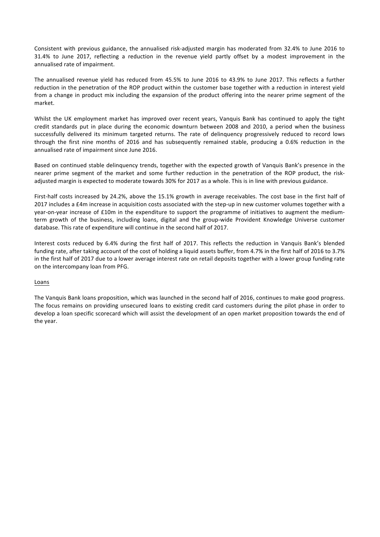Consistent with previous guidance, the annualised risk-adjusted margin has moderated from 32.4% to June 2016 to 31.4% to June 2017, reflecting a reduction in the revenue yield partly offset by a modest improvement in the annualised rate of impairment.

The annualised revenue yield has reduced from 45.5% to June 2016 to 43.9% to June 2017. This reflects a further reduction in the penetration of the ROP product within the customer base together with a reduction in interest yield from a change in product mix including the expansion of the product offering into the nearer prime segment of the market.

Whilst the UK employment market has improved over recent years, Vanquis Bank has continued to apply the tight credit standards put in place during the economic downturn between 2008 and 2010, a period when the business successfully delivered its minimum targeted returns. The rate of delinquency progressively reduced to record lows through the first nine months of 2016 and has subsequently remained stable, producing a 0.6% reduction in the annualised rate of impairment since June 2016.

Based on continued stable delinquency trends, together with the expected growth of Vanquis Bank's presence in the nearer prime segment of the market and some further reduction in the penetration of the ROP product, the riskadjusted margin is expected to moderate towards 30% for 2017 as a whole. This is in line with previous guidance.

First-half costs increased by 24.2%, above the 15.1% growth in average receivables. The cost base in the first half of 2017 includes a £4m increase in acquisition costs associated with the step-up in new customer volumes together with a year-on-year increase of £10m in the expenditure to support the programme of initiatives to augment the mediumterm growth of the business, including loans, digital and the group-wide Provident Knowledge Universe customer database. This rate of expenditure will continue in the second half of 2017.

Interest costs reduced by 6.4% during the first half of 2017. This reflects the reduction in Vanquis Bank's blended funding rate, after taking account of the cost of holding a liquid assets buffer, from 4.7% in the first half of 2016 to 3.7% in the first half of 2017 due to a lower average interest rate on retail deposits together with a lower group funding rate on the intercompany loan from PFG.

# Loans

The Vanquis Bank loans proposition, which was launched in the second half of 2016, continues to make good progress. The focus remains on providing unsecured loans to existing credit card customers during the pilot phase in order to develop a loan specific scorecard which will assist the development of an open market proposition towards the end of the year.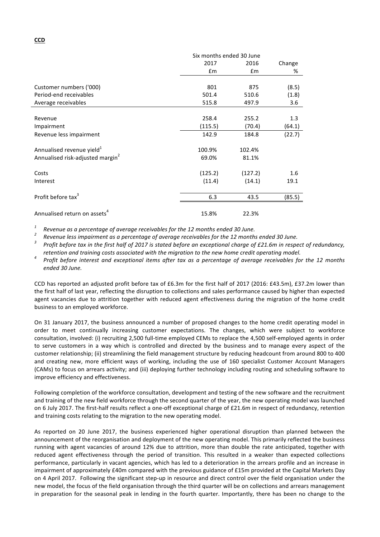|                                              | Six months ended 30 June |         |        |  |
|----------------------------------------------|--------------------------|---------|--------|--|
|                                              | 2017                     | 2016    | Change |  |
|                                              | Em                       | £m      | %      |  |
|                                              |                          |         |        |  |
| Customer numbers ('000)                      | 801                      | 875     | (8.5)  |  |
| Period-end receivables                       | 501.4                    | 510.6   | (1.8)  |  |
| Average receivables                          | 515.8                    | 497.9   | 3.6    |  |
|                                              |                          |         |        |  |
| Revenue                                      | 258.4                    | 255.2   | 1.3    |  |
| Impairment                                   | (115.5)                  | (70.4)  | (64.1) |  |
| Revenue less impairment                      | 142.9                    | 184.8   | (22.7) |  |
| Annualised revenue yield <sup>1</sup>        | 100.9%                   | 102.4%  |        |  |
| Annualised risk-adjusted margin <sup>2</sup> | 69.0%                    | 81.1%   |        |  |
| Costs                                        | (125.2)                  | (127.2) | 1.6    |  |
| Interest                                     | (11.4)                   | (14.1)  | 19.1   |  |
| Profit before tax <sup>3</sup>               | 6.3                      | 43.5    | (85.5) |  |
| Annualised return on assets <sup>4</sup>     | 15.8%                    | 22.3%   |        |  |

<sup>1</sup> Revenue as a percentage of average receivables for the 12 months ended 30 June.<br><sup>2</sup> Revenue less impairment as a percentage of average receivables for the 12 months ended 30 June.<br><sup>3</sup> Profit before tax in the first ha

retention and training costs associated with the migration to the new home credit operating model.<br>Profit before interest and exceptional items after tax as a percentage of average receivables for the 12 months *ended 30 June.*

CCD has reported an adjusted profit before tax of £6.3m for the first half of 2017 (2016: £43.5m), £37.2m lower than the first half of last year, reflecting the disruption to collections and sales performance caused by higher than expected agent vacancies due to attrition together with reduced agent effectiveness during the migration of the home credit business to an employed workforce.

On 31 January 2017, the business announced a number of proposed changes to the home credit operating model in order to meet continually increasing customer expectations. The changes, which were subject to workforce consultation, involved: (i) recruiting 2,500 full-time employed CEMs to replace the 4,500 self-employed agents in order to serve customers in a way which is controlled and directed by the business and to manage every aspect of the customer relationship; (ii) streamlining the field management structure by reducing headcount from around 800 to 400 and creating new, more efficient ways of working, including the use of 160 specialist Customer Account Managers (CAMs) to focus on arrears activity; and (iii) deploying further technology including routing and scheduling software to improve efficiency and effectiveness.

Following completion of the workforce consultation, development and testing of the new software and the recruitment and training of the new field workforce through the second quarter of the year, the new operating model was launched on 6 July 2017. The first-half results reflect a one-off exceptional charge of £21.6m in respect of redundancy, retention and training costs relating to the migration to the new operating model.

As reported on 20 June 2017, the business experienced higher operational disruption than planned between the announcement of the reorganisation and deployment of the new operating model. This primarily reflected the business running with agent vacancies of around 12% due to attrition, more than double the rate anticipated, together with reduced agent effectiveness through the period of transition. This resulted in a weaker than expected collections performance, particularly in vacant agencies, which has led to a deterioration in the arrears profile and an increase in impairment of approximately £40m compared with the previous guidance of £15m provided at the Capital Markets Day on 4 April 2017. Following the significant step-up in resource and direct control over the field organisation under the new model, the focus of the field organisation through the third quarter will be on collections and arrears management in preparation for the seasonal peak in lending in the fourth quarter. Importantly, there has been no change to the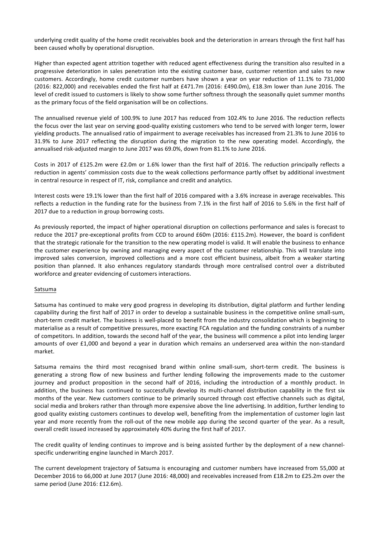underlying credit quality of the home credit receivables book and the deterioration in arrears through the first half has been caused wholly by operational disruption.

Higher than expected agent attrition together with reduced agent effectiveness during the transition also resulted in a progressive deterioration in sales penetration into the existing customer base, customer retention and sales to new customers. Accordingly, home credit customer numbers have shown a year on year reduction of 11.1% to 731,000 (2016: 822,000) and receivables ended the first half at £471.7m (2016: £490.0m), £18.3m lower than June 2016. The level of credit issued to customers is likely to show some further softness through the seasonally quiet summer months as the primary focus of the field organisation will be on collections.

The annualised revenue yield of 100.9% to June 2017 has reduced from 102.4% to June 2016. The reduction reflects the focus over the last year on serving good-quality existing customers who tend to be served with longer term, lower yielding products. The annualised ratio of impairment to average receivables has increased from 21.3% to June 2016 to 31.9% to June 2017 reflecting the disruption during the migration to the new operating model. Accordingly, the annualised risk-adjusted margin to June 2017 was 69.0%, down from 81.1% to June 2016.

Costs in 2017 of £125.2m were £2.0m or 1.6% lower than the first half of 2016. The reduction principally reflects a reduction in agents' commission costs due to the weak collections performance partly offset by additional investment in central resource in respect of IT, risk, compliance and credit and analytics.

Interest costs were 19.1% lower than the first half of 2016 compared with a 3.6% increase in average receivables. This reflects a reduction in the funding rate for the business from 7.1% in the first half of 2016 to 5.6% in the first half of 2017 due to a reduction in group borrowing costs.

As previously reported, the impact of higher operational disruption on collections performance and sales is forecast to reduce the 2017 pre-exceptional profits from CCD to around £60m (2016: £115.2m). However, the board is confident that the strategic rationale for the transition to the new operating model is valid. It will enable the business to enhance the customer experience by owning and managing every aspect of the customer relationship. This will translate into improved sales conversion, improved collections and a more cost efficient business, albeit from a weaker starting position than planned. It also enhances regulatory standards through more centralised control over a distributed workforce and greater evidencing of customers interactions.

# Satsuma

Satsuma has continued to make very good progress in developing its distribution, digital platform and further lending capability during the first half of 2017 in order to develop a sustainable business in the competitive online small-sum, short-term credit market. The business is well-placed to benefit from the industry consolidation which is beginning to materialise as a result of competitive pressures, more exacting FCA regulation and the funding constraints of a number of competitors. In addition, towards the second half of the year, the business will commence a pilot into lending larger amounts of over £1,000 and beyond a year in duration which remains an underserved area within the non-standard market.

Satsuma remains the third most recognised brand within online small-sum, short-term credit. The business is generating a strong flow of new business and further lending following the improvements made to the customer journey and product proposition in the second half of 2016, including the introduction of a monthly product. In addition, the business has continued to successfully develop its multi-channel distribution capability in the first six months of the year. New customers continue to be primarily sourced through cost effective channels such as digital, social media and brokers rather than through more expensive above the line advertising. In addition, further lending to good quality existing customers continues to develop well, benefiting from the implementation of customer login last year and more recently from the roll-out of the new mobile app during the second quarter of the year. As a result, overall credit issued increased by approximately 40% during the first half of 2017.

The credit quality of lending continues to improve and is being assisted further by the deployment of a new channelspecific underwriting engine launched in March 2017.

The current development trajectory of Satsuma is encouraging and customer numbers have increased from 55,000 at December 2016 to 66,000 at June 2017 (June 2016: 48,000) and receivables increased from £18.2m to £25.2m over the same period (June 2016: £12.6m).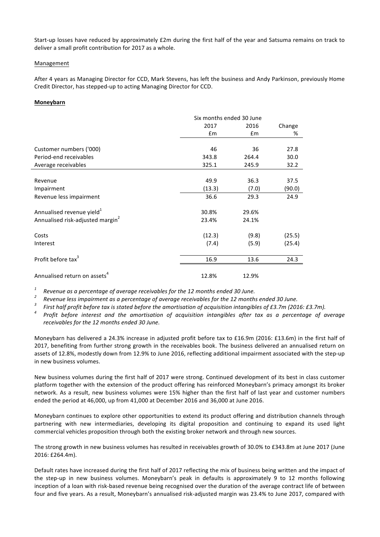Start-up losses have reduced by approximately £2m during the first half of the year and Satsuma remains on track to deliver a small profit contribution for 2017 as a whole.

## Management

After 4 years as Managing Director for CCD, Mark Stevens, has left the business and Andy Parkinson, previously Home Credit Director, has stepped-up to acting Managing Director for CCD.

## **Moneybarn**

|                                              |        | Six months ended 30 June |        |  |
|----------------------------------------------|--------|--------------------------|--------|--|
|                                              | 2017   | 2016                     | Change |  |
|                                              | Em     | Em                       | %      |  |
|                                              |        |                          |        |  |
| Customer numbers ('000)                      | 46     | 36                       | 27.8   |  |
| Period-end receivables                       | 343.8  | 264.4                    | 30.0   |  |
| Average receivables                          | 325.1  | 245.9                    | 32.2   |  |
|                                              |        |                          |        |  |
| Revenue                                      | 49.9   | 36.3                     | 37.5   |  |
| Impairment                                   | (13.3) | (7.0)                    | (90.0) |  |
| Revenue less impairment                      | 36.6   | 29.3                     | 24.9   |  |
| Annualised revenue yield <sup>1</sup>        | 30.8%  | 29.6%                    |        |  |
| Annualised risk-adjusted margin <sup>2</sup> | 23.4%  | 24.1%                    |        |  |
| Costs                                        | (12.3) | (9.8)                    | (25.5) |  |
| Interest                                     | (7.4)  | (5.9)                    | (25.4) |  |
| Profit before tax <sup>3</sup>               | 16.9   | 13.6                     | 24.3   |  |
| Annualised return on assets <sup>4</sup>     | 12.8%  | 12.9%                    |        |  |

<sup>1</sup> Revenue as a percentage of average receivables for the 12 months ended 30 June.<br><sup>2</sup> Revenue less impairment as a percentage of average receivables for the 12 months ended 30 June.<br><sup>3</sup> First half profit before tax is s receivables for the 12 months ended 30 June.

Moneybarn has delivered a 24.3% increase in adjusted profit before tax to £16.9m (2016: £13.6m) in the first half of 2017, benefiting from further strong growth in the receivables book. The business delivered an annualised return on assets of 12.8%, modestly down from 12.9% to June 2016, reflecting additional impairment associated with the step-up in new business volumes.

New business volumes during the first half of 2017 were strong. Continued development of its best in class customer platform together with the extension of the product offering has reinforced Moneybarn's primacy amongst its broker network. As a result, new business volumes were 15% higher than the first half of last year and customer numbers ended the period at 46,000, up from 41,000 at December 2016 and 36,000 at June 2016.

Moneybarn continues to explore other opportunities to extend its product offering and distribution channels through partnering with new intermediaries, developing its digital proposition and continuing to expand its used light commercial vehicles proposition through both the existing broker network and through new sources.

The strong growth in new business volumes has resulted in receivables growth of 30.0% to £343.8m at June 2017 (June 2016: £264.4m).

Default rates have increased during the first half of 2017 reflecting the mix of business being written and the impact of the step-up in new business volumes. Moneybarn's peak in defaults is approximately 9 to 12 months following inception of a loan with risk-based revenue being recognised over the duration of the average contract life of between four and five years. As a result, Moneybarn's annualised risk-adjusted margin was 23.4% to June 2017, compared with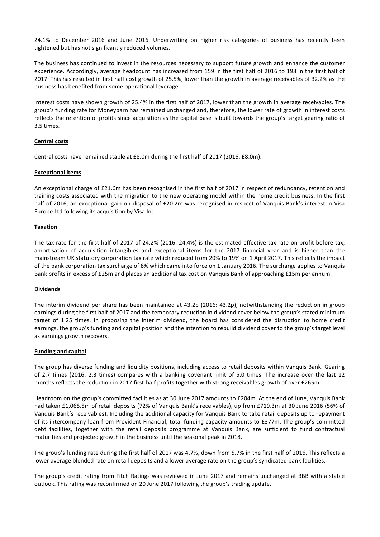24.1% to December 2016 and June 2016. Underwriting on higher risk categories of business has recently been tightened but has not significantly reduced volumes.

The business has continued to invest in the resources necessary to support future growth and enhance the customer experience. Accordingly, average headcount has increased from 159 in the first half of 2016 to 198 in the first half of 2017. This has resulted in first half cost growth of 25.5%, lower than the growth in average receivables of 32.2% as the business has benefited from some operational leverage.

Interest costs have shown growth of 25.4% in the first half of 2017, lower than the growth in average receivables. The group's funding rate for Moneybarn has remained unchanged and, therefore, the lower rate of growth in interest costs reflects the retention of profits since acquisition as the capital base is built towards the group's target gearing ratio of 3.5 times. 

# **Central costs**

Central costs have remained stable at £8.0m during the first half of 2017 (2016: £8.0m).

# **Exceptional items**

An exceptional charge of £21.6m has been recognised in the first half of 2017 in respect of redundancy, retention and training costs associated with the migration to the new operating model within the home credit business. In the first half of 2016, an exceptional gain on disposal of £20.2m was recognised in respect of Vanquis Bank's interest in Visa Europe Ltd following its acquisition by Visa Inc.

# **Taxation**

The tax rate for the first half of 2017 of 24.2% (2016: 24.4%) is the estimated effective tax rate on profit before tax, amortisation of acquisition intangibles and exceptional items for the 2017 financial year and is higher than the mainstream UK statutory corporation tax rate which reduced from 20% to 19% on 1 April 2017. This reflects the impact of the bank corporation tax surcharge of 8% which came into force on 1 January 2016. The surcharge applies to Vanquis Bank profits in excess of £25m and places an additional tax cost on Vanquis Bank of approaching £15m per annum.

# **Dividends**

The interim dividend per share has been maintained at  $43.2p$  (2016:  $43.2p$ ), notwithstanding the reduction in group earnings during the first half of 2017 and the temporary reduction in dividend cover below the group's stated minimum target of 1.25 times. In proposing the interim dividend, the board has considered the disruption to home credit earnings, the group's funding and capital position and the intention to rebuild dividend cover to the group's target level as earnings growth recovers.

# **Funding and capital**

The group has diverse funding and liquidity positions, including access to retail deposits within Vanquis Bank. Gearing of 2.7 times (2016: 2.3 times) compares with a banking covenant limit of 5.0 times. The increase over the last 12 months reflects the reduction in 2017 first-half profits together with strong receivables growth of over £265m.

Headroom on the group's committed facilities as at 30 June 2017 amounts to £204m. At the end of June, Vanquis Bank had taken £1,065.5m of retail deposits (72% of Vanquis Bank's receivables), up from £719.3m at 30 June 2016 (56% of Vanquis Bank's receivables). Including the additional capacity for Vanquis Bank to take retail deposits up to repayment of its intercompany loan from Provident Financial, total funding capacity amounts to £377m. The group's committed debt facilities, together with the retail deposits programme at Vanquis Bank, are sufficient to fund contractual maturities and projected growth in the business until the seasonal peak in 2018.

The group's funding rate during the first half of 2017 was 4.7%, down from 5.7% in the first half of 2016. This reflects a lower average blended rate on retail deposits and a lower average rate on the group's syndicated bank facilities.

The group's credit rating from Fitch Ratings was reviewed in June 2017 and remains unchanged at BBB with a stable outlook. This rating was reconfirmed on 20 June 2017 following the group's trading update.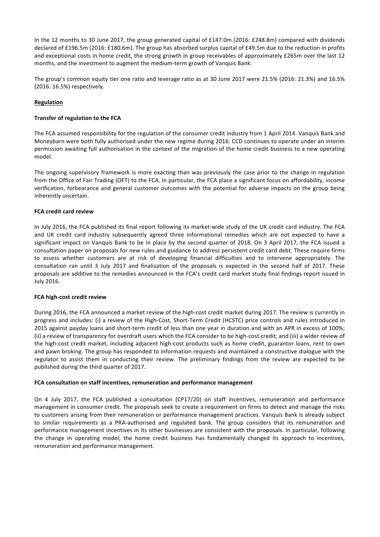In the 12 months to 30 June 2017, the group generated capital of £147.0m (2016: £248.8m) compared with dividends declared of £196.5m (2016: £180.6m). The group has absorbed surplus capital of £49.5m due to the reduction in profits and exceptional costs in home credit, the strong growth in group receivables of approximately £265m over the last 12 months, and the investment to augment the medium-term growth of Vanquis Bank.

The group's common equity tier one ratio and leverage ratio as at 30 June 2017 were 21.5% (2016: 21.3%) and 16.5% (2016: 16.5%) respectively.

# **Regulation**

# **Transfer of regulation to the FCA**

The FCA assumed responsibility for the regulation of the consumer credit industry from 1 April 2014. Vanquis Bank and Moneybarn were both fully authorised under the new regime during 2016. CCD continues to operate under an interim permission awaiting full authorisation in the context of the migration of the home credit business to a new operating model.

The ongoing supervisory framework is more exacting than was previously the case prior to the change in regulation from the Office of Fair Trading (OFT) to the FCA. In particular, the FCA place a significant focus on affordability, income verification, forbearance and general customer outcomes with the potential for adverse impacts on the group being inherently uncertain.

# **FCA credit card review**

In July 2016, the FCA published its final report following its market-wide study of the UK credit card industry. The FCA and UK credit card industry subsequently agreed three informational remedies which are not expected to have a significant impact on Vanquis Bank to be in place by the second quarter of 2018. On 3 April 2017, the FCA issued a consultation paper on proposals for new rules and guidance to address persistent credit card debt. These require firms to assess whether customers are at risk of developing financial difficulties and to intervene appropriately. The consultation ran until 3 July 2017 and finalisation of the proposals is expected in the second half of 2017. These proposals are additive to the remedies announced in the FCA's credit card market study final findings report issued in July 2016.

# **FCA** high-cost credit review

During 2016, the FCA announced a market review of the high-cost credit market during 2017. The review is currently in progress and includes: (i) a review of the High-Cost, Short-Term Credit (HCSTC) price controls and rules introduced in 2015 against payday loans and short-term credit of less than one year in duration and with an APR in excess of 100%; (ii) a review of transparency for overdraft users which the FCA consider to be high-cost credit; and (iii) a wider review of the high-cost credit market, including adjacent high-cost products such as home credit, guarantor loans, rent to own and pawn broking. The group has responded to information requests and maintained a constructive dialogue with the regulator to assist them in conducting their review. The preliminary findings from the review are expected to be published during the third quarter of 2017.

# FCA consultation on staff incentives, remuneration and performance management

On 4 July 2017, the FCA published a consultation (CP17/20) on staff incentives, remuneration and performance management in consumer credit. The proposals seek to create a requirement on firms to detect and manage the risks to customers arising from their remuneration or performance management practices. Vanquis Bank is already subject to similar requirements as a PRA-authorised and regulated bank. The group considers that its remuneration and performance management incentives in its other businesses are consistent with the proposals. In particular, following the change in operating model, the home credit business has fundamentally changed its approach to incentives, remuneration and performance management.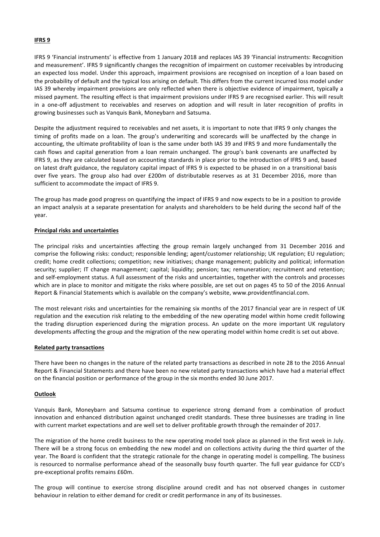## **IFRS 9**

IFRS 9 'Financial instruments' is effective from 1 January 2018 and replaces IAS 39 'Financial instruments: Recognition and measurement'. IFRS 9 significantly changes the recognition of impairment on customer receivables by introducing an expected loss model. Under this approach, impairment provisions are recognised on inception of a loan based on the probability of default and the typical loss arising on default. This differs from the current incurred loss model under IAS 39 whereby impairment provisions are only reflected when there is objective evidence of impairment, typically a missed payment. The resulting effect is that impairment provisions under IFRS 9 are recognised earlier. This will result in a one-off adjustment to receivables and reserves on adoption and will result in later recognition of profits in growing businesses such as Vanquis Bank, Moneybarn and Satsuma.

Despite the adjustment required to receivables and net assets, it is important to note that IFRS 9 only changes the timing of profits made on a loan. The group's underwriting and scorecards will be unaffected by the change in accounting, the ultimate profitability of loan is the same under both IAS 39 and IFRS 9 and more fundamentally the cash flows and capital generation from a loan remain unchanged. The group's bank covenants are unaffected by IFRS 9, as they are calculated based on accounting standards in place prior to the introduction of IFRS 9 and, based on latest draft guidance, the regulatory capital impact of IFRS 9 is expected to be phased in on a transitional basis over five years. The group also had over £200m of distributable reserves as at 31 December 2016, more than sufficient to accommodate the impact of IFRS 9.

The group has made good progress on quantifying the impact of IFRS 9 and now expects to be in a position to provide an impact analysis at a separate presentation for analysts and shareholders to be held during the second half of the year.

## **Principal risks and uncertainties**

The principal risks and uncertainties affecting the group remain largely unchanged from 31 December 2016 and comprise the following risks: conduct; responsible lending; agent/customer relationship; UK regulation; EU regulation; credit; home credit collections; competition; new initiatives; change management; publicity and political; information security; supplier; IT change management; capital; liquidity; pension; tax; remuneration; recruitment and retention; and self-employment status. A full assessment of the risks and uncertainties, together with the controls and processes which are in place to monitor and mitigate the risks where possible, are set out on pages 45 to 50 of the 2016 Annual Report & Financial Statements which is available on the company's website, www.providentfinancial.com.

The most relevant risks and uncertainties for the remaining six months of the 2017 financial year are in respect of UK regulation and the execution risk relating to the embedding of the new operating model within home credit following the trading disruption experienced during the migration process. An update on the more important UK regulatory developments affecting the group and the migration of the new operating model within home credit is set out above.

## **Related party transactions**

There have been no changes in the nature of the related party transactions as described in note 28 to the 2016 Annual Report & Financial Statements and there have been no new related party transactions which have had a material effect on the financial position or performance of the group in the six months ended 30 June 2017.

## **Outlook**

Vanquis Bank, Moneybarn and Satsuma continue to experience strong demand from a combination of product innovation and enhanced distribution against unchanged credit standards. These three businesses are trading in line with current market expectations and are well set to deliver profitable growth through the remainder of 2017.

The migration of the home credit business to the new operating model took place as planned in the first week in July. There will be a strong focus on embedding the new model and on collections activity during the third quarter of the year. The Board is confident that the strategic rationale for the change in operating model is compelling. The business is resourced to normalise performance ahead of the seasonally busy fourth quarter. The full year guidance for CCD's pre-exceptional profits remains £60m.

The group will continue to exercise strong discipline around credit and has not observed changes in customer behaviour in relation to either demand for credit or credit performance in any of its businesses.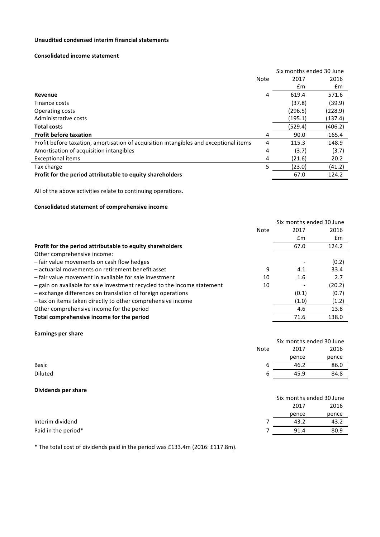# **Unaudited condensed interim financial statements**

## **Consolidated income statement**

|                                                                                       |             | Six months ended 30 June |         |
|---------------------------------------------------------------------------------------|-------------|--------------------------|---------|
|                                                                                       | <b>Note</b> | 2017                     | 2016    |
|                                                                                       |             | Em                       | £m      |
| Revenue                                                                               | 4           | 619.4                    | 571.6   |
| Finance costs                                                                         |             | (37.8)                   | (39.9)  |
| Operating costs                                                                       |             | (296.5)                  | (228.9) |
| Administrative costs                                                                  |             | (195.1)                  | (137.4) |
| <b>Total costs</b>                                                                    |             | (529.4)                  | (406.2) |
| <b>Profit before taxation</b>                                                         | 4           | 90.0                     | 165.4   |
| Profit before taxation, amortisation of acquisition intangibles and exceptional items | 4           | 115.3                    | 148.9   |
| Amortisation of acquisition intangibles                                               | 4           | (3.7)                    | (3.7)   |
| <b>Exceptional items</b>                                                              | 4           | (21.6)                   | 20.2    |
| Tax charge                                                                            | 5           | (23.0)                   | (41.2)  |
| Profit for the period attributable to equity shareholders                             |             | 67.0                     | 124.2   |

All of the above activities relate to continuing operations.

# **Consolidated statement of comprehensive income**

|                                                                          |      |       | Six months ended 30 June |
|--------------------------------------------------------------------------|------|-------|--------------------------|
|                                                                          | Note | 2017  | 2016                     |
|                                                                          |      | £m    | £m                       |
| Profit for the period attributable to equity shareholders                |      | 67.0  | 124.2                    |
| Other comprehensive income:                                              |      |       |                          |
| - fair value movements on cash flow hedges                               |      |       | (0.2)                    |
| - actuarial movements on retirement benefit asset                        | 9    | 4.1   | 33.4                     |
| - fair value movement in available for sale investment                   | 10   | 1.6   | 2.7                      |
| - gain on available for sale investment recycled to the income statement | 10   |       | (20.2)                   |
| - exchange differences on translation of foreign operations              |      | (0.1) | (0.7)                    |
| - tax on items taken directly to other comprehensive income              |      | (1.0) | (1.2)                    |
| Other comprehensive income for the period                                |      | 4.6   | 13.8                     |
| Total comprehensive income for the period                                |      | 71.6  | 138.0                    |

# **Earnings per share**

|              |             | Six months ended 30 June |       |  |
|--------------|-------------|--------------------------|-------|--|
|              | <b>Note</b> | 2017                     | 2016  |  |
|              |             | pence                    | pence |  |
| <b>Basic</b> | ь           | 46.2                     | 86.0  |  |
| Diluted      | b           | 45.9                     | 84.8  |  |
|              |             |                          |       |  |

## **Dividends per share**

|                     | Six months ended 30 June |       |  |
|---------------------|--------------------------|-------|--|
|                     | 2017                     | 2016  |  |
|                     | pence                    | pence |  |
| Interim dividend    | 43.2                     | 43.2  |  |
| Paid in the period* | 91.4                     | 80.9  |  |

\* The total cost of dividends paid in the period was £133.4m (2016: £117.8m).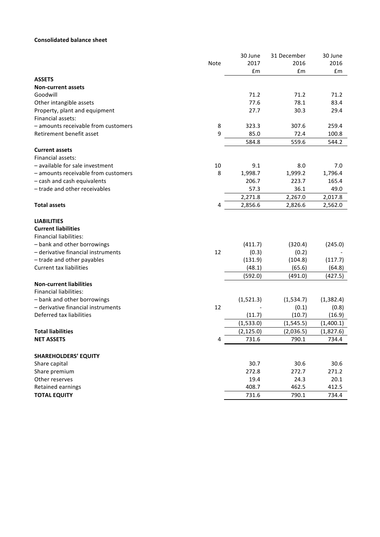# **Consolidated balance sheet**

|                                                                   |      | 30 June    | 31 December     | 30 June             |
|-------------------------------------------------------------------|------|------------|-----------------|---------------------|
|                                                                   | Note | 2017       | 2016            | 2016                |
|                                                                   |      | £m         | £m              | £m                  |
| <b>ASSETS</b>                                                     |      |            |                 |                     |
| <b>Non-current assets</b>                                         |      |            |                 |                     |
| Goodwill                                                          |      | 71.2       | 71.2            | 71.2                |
| Other intangible assets                                           |      | 77.6       | 78.1            | 83.4                |
| Property, plant and equipment                                     |      | 27.7       | 30.3            | 29.4                |
| Financial assets:                                                 |      |            |                 |                     |
| - amounts receivable from customers                               | 8    | 323.3      | 307.6           | 259.4               |
| Retirement benefit asset                                          | 9    | 85.0       | 72.4            | 100.8               |
|                                                                   |      | 584.8      | 559.6           | 544.2               |
| <b>Current assets</b>                                             |      |            |                 |                     |
| Financial assets:                                                 |      |            |                 |                     |
| - available for sale investment                                   | 10   | 9.1        | 8.0             | 7.0                 |
| - amounts receivable from customers                               | 8    | 1,998.7    | 1,999.2         | 1,796.4             |
| - cash and cash equivalents                                       |      | 206.7      | 223.7           | 165.4               |
| - trade and other receivables                                     |      | 57.3       | 36.1            | 49.0                |
|                                                                   |      | 2,271.8    | 2,267.0         | 2,017.8             |
| <b>Total assets</b>                                               | 4    | 2,856.6    | 2,826.6         | 2,562.0             |
| <b>LIABILITIES</b>                                                |      |            |                 |                     |
| <b>Current liabilities</b>                                        |      |            |                 |                     |
| <b>Financial liabilities:</b>                                     |      |            |                 |                     |
| - bank and other borrowings                                       |      |            |                 |                     |
| - derivative financial instruments                                | 12   | (411.7)    | (320.4)         | (245.0)             |
|                                                                   |      | (0.3)      | (0.2)           |                     |
| - trade and other payables                                        |      | (131.9)    | (104.8)         | (117.7)             |
| <b>Current tax liabilities</b>                                    |      | (48.1)     | (65.6)          | (64.8)              |
|                                                                   |      | (592.0)    | (491.0)         | (427.5)             |
| <b>Non-current liabilities</b>                                    |      |            |                 |                     |
| <b>Financial liabilities:</b>                                     |      |            |                 |                     |
| - bank and other borrowings<br>- derivative financial instruments | 12   | (1,521.3)  | (1,534.7)       | (1, 382.4)<br>(0.8) |
| Deferred tax liabilities                                          |      | (11.7)     | (0.1)<br>(10.7) |                     |
|                                                                   |      |            | (1, 545.5)      | (16.9)              |
|                                                                   |      | (1,533.0)  |                 | (1,400.1)           |
| <b>Total liabilities</b>                                          |      | (2, 125.0) | (2,036.5)       | (1,827.6)           |
| <b>NET ASSETS</b>                                                 | 4    | 731.6      | 790.1           | 734.4               |
| <b>SHAREHOLDERS' EQUITY</b>                                       |      |            |                 |                     |
| Share capital                                                     |      | 30.7       | 30.6            | 30.6                |
| Share premium                                                     |      | 272.8      | 272.7           | 271.2               |
| Other reserves                                                    |      | 19.4       | 24.3            | 20.1                |
| Retained earnings                                                 |      | 408.7      | 462.5           | 412.5               |
| <b>TOTAL EQUITY</b>                                               |      | 731.6      | 790.1           | 734.4               |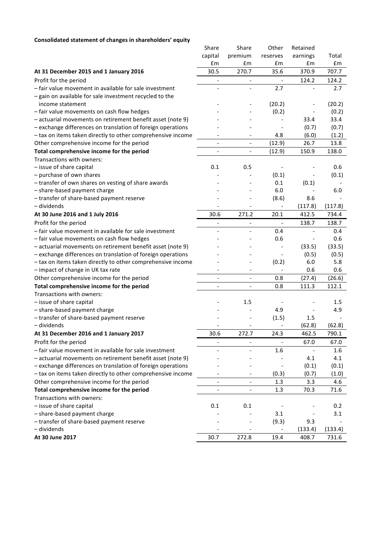# **Consolidated statement of changes in shareholders' equity**

| sonaatea statennent or enanges in sharenolaers              |                          |                          |                              |          |         |
|-------------------------------------------------------------|--------------------------|--------------------------|------------------------------|----------|---------|
|                                                             | Share                    | Share                    | Other                        | Retained |         |
|                                                             | capital                  | premium                  | reserves                     | earnings | Total   |
|                                                             | £m                       | £m                       | £m                           | £m       | £m      |
| At 31 December 2015 and 1 January 2016                      | 30.5                     | 270.7                    | 35.6                         | 370.9    | 707.7   |
| Profit for the period                                       | $\overline{\phantom{a}}$ |                          |                              | 124.2    | 124.2   |
| - fair value movement in available for sale investment      |                          |                          | 2.7                          |          | 2.7     |
| - gain on available for sale investment recycled to the     |                          |                          |                              |          |         |
| income statement                                            |                          |                          | (20.2)                       |          | (20.2)  |
| - fair value movements on cash flow hedges                  |                          |                          | (0.2)                        |          | (0.2)   |
| - actuarial movements on retirement benefit asset (note 9)  |                          |                          |                              | 33.4     | 33.4    |
| - exchange differences on translation of foreign operations |                          |                          |                              | (0.7)    | (0.7)   |
| - tax on items taken directly to other comprehensive income | $\overline{\phantom{a}}$ | $\overline{\phantom{a}}$ | 4.8                          | (6.0)    | (1.2)   |
| Other comprehensive income for the period                   | $\overline{\phantom{a}}$ | $\overline{\phantom{a}}$ | (12.9)                       | 26.7     | 13.8    |
| Total comprehensive income for the period                   |                          |                          | (12.9)                       | 150.9    | 138.0   |
| Transactions with owners:                                   |                          |                          |                              |          |         |
| - issue of share capital                                    | 0.1                      | 0.5                      |                              |          | 0.6     |
| - purchase of own shares                                    |                          |                          | (0.1)                        |          | (0.1)   |
| - transfer of own shares on vesting of share awards         |                          |                          | 0.1                          | (0.1)    |         |
| - share-based payment charge                                |                          |                          | 6.0                          |          | 6.0     |
| - transfer of share-based payment reserve                   |                          |                          | (8.6)                        | 8.6      |         |
| - dividends                                                 |                          |                          |                              | (117.8)  | (117.8) |
| At 30 June 2016 and 1 July 2016                             | 30.6                     | 271.2                    | 20.1                         | 412.5    | 734.4   |
| Profit for the period                                       | $\qquad \qquad -$        | $\overline{\phantom{a}}$ | $\qquad \qquad \blacksquare$ | 138.7    | 138.7   |
| - fair value movement in available for sale investment      |                          |                          | 0.4                          |          | 0.4     |
| - fair value movements on cash flow hedges                  |                          |                          | 0.6                          |          | 0.6     |
| - actuarial movements on retirement benefit asset (note 9)  |                          |                          | $\qquad \qquad \blacksquare$ | (33.5)   | (33.5)  |
| - exchange differences on translation of foreign operations |                          |                          |                              | (0.5)    | (0.5)   |
| - tax on items taken directly to other comprehensive income |                          |                          | (0.2)                        | 6.0      | 5.8     |
| - impact of change in UK tax rate                           |                          |                          |                              | 0.6      | 0.6     |
| Other comprehensive income for the period                   | $\overline{\phantom{a}}$ | $\overline{\phantom{a}}$ | 0.8                          | (27.4)   | (26.6)  |
| Total comprehensive income for the period                   | $\overline{\phantom{m}}$ |                          | 0.8                          | 111.3    | 112.1   |
| Transactions with owners:                                   |                          |                          |                              |          |         |
| - issue of share capital                                    |                          | 1.5                      |                              |          | 1.5     |
| - share-based payment charge                                |                          |                          | 4.9                          |          | 4.9     |
| - transfer of share-based payment reserve                   |                          |                          | (1.5)                        | 1.5      |         |
| - dividends                                                 |                          |                          |                              | (62.8)   | (62.8)  |
| At 31 December 2016 and 1 January 2017                      | 30.6                     | 272.7                    | 24.3                         | 462.5    | 790.1   |
| Profit for the period                                       | $\blacksquare$           | $\overline{\phantom{0}}$ |                              | 67.0     | 67.0    |
| - fair value movement in available for sale investment      |                          |                          | 1.6                          |          | 1.6     |
| - actuarial movements on retirement benefit asset (note 9)  |                          |                          |                              | 4.1      | 4.1     |
| - exchange differences on translation of foreign operations |                          |                          | $\qquad \qquad \blacksquare$ | (0.1)    | (0.1)   |
| - tax on items taken directly to other comprehensive income |                          | $\overline{\phantom{a}}$ | (0.3)                        | (0.7)    | (1.0)   |
| Other comprehensive income for the period                   | $\overline{\phantom{a}}$ | $\overline{\phantom{a}}$ | 1.3                          | 3.3      | 4.6     |
| Total comprehensive income for the period                   | $\qquad \qquad -$        | $\overline{\phantom{a}}$ | 1.3                          | 70.3     | 71.6    |
| Transactions with owners:                                   |                          |                          |                              |          |         |
| - issue of share capital                                    | 0.1                      | 0.1                      |                              |          | 0.2     |
| - share-based payment charge                                |                          |                          | 3.1                          |          | 3.1     |
| - transfer of share-based payment reserve                   |                          |                          | (9.3)                        | 9.3      |         |
| - dividends                                                 |                          |                          | $\overline{\phantom{a}}$     | (133.4)  | (133.4) |
| At 30 June 2017                                             | 30.7                     | 272.8                    | 19.4                         | 408.7    | 731.6   |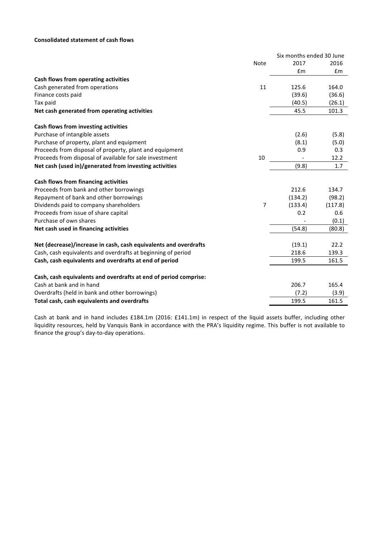# **Consolidated statement of cash flows**

|                                                                  |             | Six months ended 30 June |         |
|------------------------------------------------------------------|-------------|--------------------------|---------|
|                                                                  | <b>Note</b> | 2017                     | 2016    |
|                                                                  |             | £m                       | £m      |
| Cash flows from operating activities                             |             |                          |         |
| Cash generated from operations                                   | 11          | 125.6                    | 164.0   |
| Finance costs paid                                               |             | (39.6)                   | (36.6)  |
| Tax paid                                                         |             | (40.5)                   | (26.1)  |
| Net cash generated from operating activities                     |             | 45.5                     | 101.3   |
| Cash flows from investing activities                             |             |                          |         |
| Purchase of intangible assets                                    |             | (2.6)                    | (5.8)   |
| Purchase of property, plant and equipment                        |             | (8.1)                    | (5.0)   |
| Proceeds from disposal of property, plant and equipment          |             | 0.9                      | 0.3     |
| Proceeds from disposal of available for sale investment          | 10          |                          | 12.2    |
| Net cash (used in)/generated from investing activities           |             | (9.8)                    | 1.7     |
| Cash flows from financing activities                             |             |                          |         |
| Proceeds from bank and other borrowings                          |             | 212.6                    | 134.7   |
| Repayment of bank and other borrowings                           |             | (134.2)                  | (98.2)  |
| Dividends paid to company shareholders                           | 7           | (133.4)                  | (117.8) |
| Proceeds from issue of share capital                             |             | 0.2                      | 0.6     |
| Purchase of own shares                                           |             |                          | (0.1)   |
| Net cash used in financing activities                            |             | (54.8)                   | (80.8)  |
| Net (decrease)/increase in cash, cash equivalents and overdrafts |             | (19.1)                   | 22.2    |
| Cash, cash equivalents and overdrafts at beginning of period     |             | 218.6                    | 139.3   |
| Cash, cash equivalents and overdrafts at end of period           |             | 199.5                    | 161.5   |
| Cash, cash equivalents and overdrafts at end of period comprise: |             |                          |         |
| Cash at bank and in hand                                         |             | 206.7                    | 165.4   |
| Overdrafts (held in bank and other borrowings)                   |             | (7.2)                    | (3.9)   |
| Total cash, cash equivalents and overdrafts                      |             | 199.5                    | 161.5   |

Cash at bank and in hand includes £184.1m (2016: £141.1m) in respect of the liquid assets buffer, including other liquidity resources, held by Vanquis Bank in accordance with the PRA's liquidity regime. This buffer is not available to finance the group's day-to-day operations.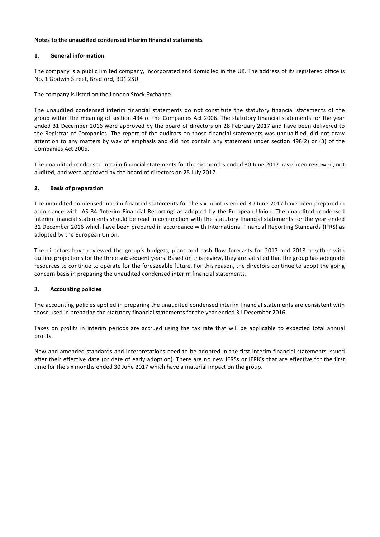# **Notes to the unaudited condensed interim financial statements**

# 1. **General information**

The company is a public limited company, incorporated and domiciled in the UK. The address of its registered office is No. 1 Godwin Street, Bradford, BD1 2SU.

The company is listed on the London Stock Exchange.

The unaudited condensed interim financial statements do not constitute the statutory financial statements of the group within the meaning of section 434 of the Companies Act 2006. The statutory financial statements for the year ended 31 December 2016 were approved by the board of directors on 28 February 2017 and have been delivered to the Registrar of Companies. The report of the auditors on those financial statements was unqualified, did not draw attention to any matters by way of emphasis and did not contain any statement under section 498(2) or (3) of the Companies Act 2006.

The unaudited condensed interim financial statements for the six months ended 30 June 2017 have been reviewed, not audited, and were approved by the board of directors on 25 July 2017.

# **2. Basis of preparation**

The unaudited condensed interim financial statements for the six months ended 30 June 2017 have been prepared in accordance with IAS 34 'Interim Financial Reporting' as adopted by the European Union. The unaudited condensed interim financial statements should be read in conjunction with the statutory financial statements for the year ended 31 December 2016 which have been prepared in accordance with International Financial Reporting Standards (IFRS) as adopted by the European Union.

The directors have reviewed the group's budgets, plans and cash flow forecasts for 2017 and 2018 together with outline projections for the three subsequent years. Based on this review, they are satisfied that the group has adequate resources to continue to operate for the foreseeable future. For this reason, the directors continue to adopt the going concern basis in preparing the unaudited condensed interim financial statements.

# **3.** Accounting policies

The accounting policies applied in preparing the unaudited condensed interim financial statements are consistent with those used in preparing the statutory financial statements for the year ended 31 December 2016.

Taxes on profits in interim periods are accrued using the tax rate that will be applicable to expected total annual profits.

New and amended standards and interpretations need to be adopted in the first interim financial statements issued after their effective date (or date of early adoption). There are no new IFRSs or IFRICs that are effective for the first time for the six months ended 30 June 2017 which have a material impact on the group.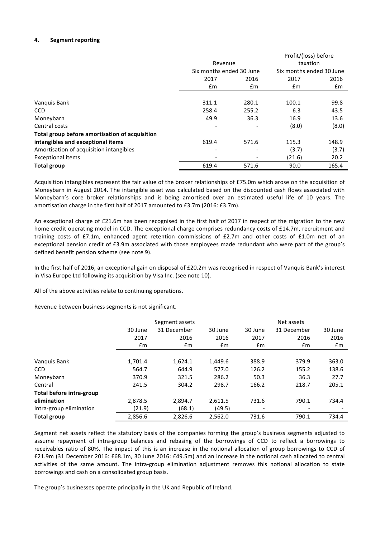## **4.** Segment reporting

|                                                |                          |       | Profit/(loss) before     |       |
|------------------------------------------------|--------------------------|-------|--------------------------|-------|
|                                                | Revenue                  |       | taxation                 |       |
|                                                | Six months ended 30 June |       | Six months ended 30 June |       |
|                                                | 2017                     | 2016  | 2017                     | 2016  |
|                                                | Em                       | £m    | £m                       | £m    |
|                                                |                          |       |                          |       |
| Vanguis Bank                                   | 311.1                    | 280.1 | 100.1                    | 99.8  |
| <b>CCD</b>                                     | 258.4                    | 255.2 | 6.3                      | 43.5  |
| Moneybarn                                      | 49.9                     | 36.3  | 16.9                     | 13.6  |
| Central costs                                  |                          |       | (8.0)                    | (8.0) |
| Total group before amortisation of acquisition |                          |       |                          |       |
| intangibles and exceptional items              | 619.4                    | 571.6 | 115.3                    | 148.9 |
| Amortisation of acquisition intangibles        | $\overline{\phantom{0}}$ |       | (3.7)                    | (3.7) |
| <b>Exceptional items</b>                       |                          |       | (21.6)                   | 20.2  |
| <b>Total group</b>                             | 619.4                    | 571.6 | 90.0                     | 165.4 |

Acquisition intangibles represent the fair value of the broker relationships of £75.0m which arose on the acquisition of Moneybarn in August 2014. The intangible asset was calculated based on the discounted cash flows associated with Moneybarn's core broker relationships and is being amortised over an estimated useful life of 10 years. The amortisation charge in the first half of 2017 amounted to £3.7m (2016: £3.7m).

An exceptional charge of £21.6m has been recognised in the first half of 2017 in respect of the migration to the new home credit operating model in CCD. The exceptional charge comprises redundancy costs of £14.7m, recruitment and training costs of £7.1m, enhanced agent retention commissions of £2.7m and other costs of £1.0m net of an exceptional pension credit of £3.9m associated with those employees made redundant who were part of the group's defined benefit pension scheme (see note 9).

In the first half of 2016, an exceptional gain on disposal of £20.2m was recognised in respect of Vanquis Bank's interest in Visa Europe Ltd following its acquisition by Visa Inc. (see note 10).

All of the above activities relate to continuing operations.

Revenue between business segments is not significant.

|                          |         | Segment assets |         |                          | Net assets               |         |
|--------------------------|---------|----------------|---------|--------------------------|--------------------------|---------|
|                          | 30 June | 31 December    | 30 June | 30 June                  | 31 December              | 30 June |
|                          | 2017    | 2016           | 2016    | 2017                     | 2016                     | 2016    |
|                          | Em      | £m             | £m      | £m                       | £m                       | £m      |
|                          |         |                |         |                          |                          |         |
| Vanquis Bank             | 1,701.4 | 1,624.1        | 1,449.6 | 388.9                    | 379.9                    | 363.0   |
| <b>CCD</b>               | 564.7   | 644.9          | 577.0   | 126.2                    | 155.2                    | 138.6   |
| Moneybarn                | 370.9   | 321.5          | 286.2   | 50.3                     | 36.3                     | 27.7    |
| Central                  | 241.5   | 304.2          | 298.7   | 166.2                    | 218.7                    | 205.1   |
| Total before intra-group |         |                |         |                          |                          |         |
| elimination              | 2,878.5 | 2.894.7        | 2.611.5 | 731.6                    | 790.1                    | 734.4   |
| Intra-group elimination  | (21.9)  | (68.1)         | (49.5)  | $\overline{\phantom{a}}$ | $\overline{\phantom{a}}$ |         |
| <b>Total group</b>       | 2,856.6 | 2,826.6        | 2,562.0 | 731.6                    | 790.1                    | 734.4   |

Segment net assets reflect the statutory basis of the companies forming the group's business segments adjusted to assume repayment of intra-group balances and rebasing of the borrowings of CCD to reflect a borrowings to receivables ratio of 80%. The impact of this is an increase in the notional allocation of group borrowings to CCD of £21.9m (31 December 2016: £68.1m, 30 June 2016: £49.5m) and an increase in the notional cash allocated to central activities of the same amount. The intra-group elimination adjustment removes this notional allocation to state borrowings and cash on a consolidated group basis.

The group's businesses operate principally in the UK and Republic of Ireland.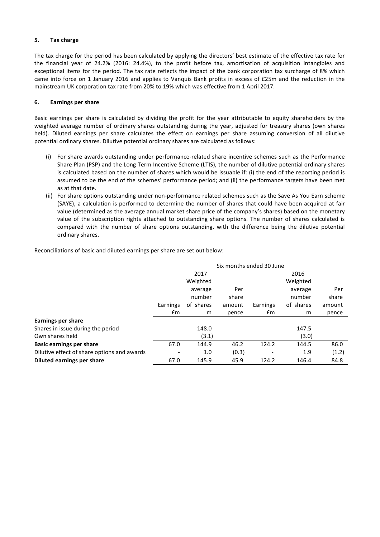# **5. Tax charge**

The tax charge for the period has been calculated by applying the directors' best estimate of the effective tax rate for the financial year of 24.2% (2016: 24.4%), to the profit before tax, amortisation of acquisition intangibles and exceptional items for the period. The tax rate reflects the impact of the bank corporation tax surcharge of 8% which came into force on 1 January 2016 and applies to Vanquis Bank profits in excess of £25m and the reduction in the mainstream UK corporation tax rate from 20% to 19% which was effective from 1 April 2017.

## **6. Earnings per share**

Basic earnings per share is calculated by dividing the profit for the year attributable to equity shareholders by the weighted average number of ordinary shares outstanding during the year, adjusted for treasury shares (own shares held). Diluted earnings per share calculates the effect on earnings per share assuming conversion of all dilutive potential ordinary shares. Dilutive potential ordinary shares are calculated as follows:

- (i) For share awards outstanding under performance-related share incentive schemes such as the Performance Share Plan (PSP) and the Long Term Incentive Scheme (LTIS), the number of dilutive potential ordinary shares is calculated based on the number of shares which would be issuable if: (i) the end of the reporting period is assumed to be the end of the schemes' performance period; and (ii) the performance targets have been met as at that date.
- (ii) For share options outstanding under non-performance related schemes such as the Save As You Earn scheme (SAYE), a calculation is performed to determine the number of shares that could have been acquired at fair value (determined as the average annual market share price of the company's shares) based on the monetary value of the subscription rights attached to outstanding share options. The number of shares calculated is compared with the number of share options outstanding, with the difference being the dilutive potential ordinary shares.

Reconciliations of basic and diluted earnings per share are set out below:

|                                             | Six months ended 30 June     |           |        |          |           |        |
|---------------------------------------------|------------------------------|-----------|--------|----------|-----------|--------|
|                                             |                              | 2017      |        |          | 2016      |        |
|                                             |                              | Weighted  |        |          | Weighted  |        |
|                                             |                              | average   | Per    |          | average   | Per    |
|                                             |                              | number    | share  |          | number    | share  |
|                                             | Earnings                     | of shares | amount | Earnings | of shares | amount |
|                                             | £m                           | m         | pence  | £m       | m         | pence  |
| <b>Earnings per share</b>                   |                              |           |        |          |           |        |
| Shares in issue during the period           |                              | 148.0     |        |          | 147.5     |        |
| Own shares held                             |                              | (3.1)     |        |          | (3.0)     |        |
| <b>Basic earnings per share</b>             | 67.0                         | 144.9     | 46.2   | 124.2    | 144.5     | 86.0   |
| Dilutive effect of share options and awards | $\qquad \qquad \blacksquare$ | 1.0       | (0.3)  |          | 1.9       | (1.2)  |
| Diluted earnings per share                  | 67.0                         | 145.9     | 45.9   | 124.2    | 146.4     | 84.8   |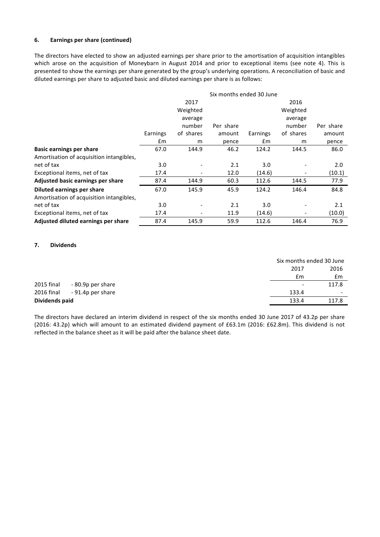# **6. Earnings per share (continued)**

The directors have elected to show an adjusted earnings per share prior to the amortisation of acquisition intangibles which arose on the acquisition of Moneybarn in August 2014 and prior to exceptional items (see note 4). This is presented to show the earnings per share generated by the group's underlying operations. A reconciliation of basic and diluted earnings per share to adjusted basic and diluted earnings per share is as follows:

|                                          | Six months ended 30 June |           |           |          |           |           |
|------------------------------------------|--------------------------|-----------|-----------|----------|-----------|-----------|
|                                          |                          | 2017      |           |          | 2016      |           |
|                                          |                          | Weighted  |           |          | Weighted  |           |
|                                          |                          | average   |           |          | average   |           |
|                                          |                          | number    | Per share |          | number    | Per share |
|                                          | Earnings                 | of shares | amount    | Earnings | of shares | amount    |
|                                          | £m                       | m         | pence     | £m       | m         | pence     |
| <b>Basic earnings per share</b>          | 67.0                     | 144.9     | 46.2      | 124.2    | 144.5     | 86.0      |
| Amortisation of acquisition intangibles, |                          |           |           |          |           |           |
| net of tax                               | 3.0                      |           | 2.1       | 3.0      |           | 2.0       |
| Exceptional items, net of tax            | 17.4                     |           | 12.0      | (14.6)   |           | (10.1)    |
| Adjusted basic earnings per share        | 87.4                     | 144.9     | 60.3      | 112.6    | 144.5     | 77.9      |
| Diluted earnings per share               | 67.0                     | 145.9     | 45.9      | 124.2    | 146.4     | 84.8      |
| Amortisation of acquisition intangibles, |                          |           |           |          |           |           |
| net of tax                               | 3.0                      |           | 2.1       | 3.0      |           | 2.1       |
| Exceptional items, net of tax            | 17.4                     |           | 11.9      | (14.6)   |           | (10.0)    |
| Adjusted diluted earnings per share      | 87.4                     | 145.9     | 59.9      | 112.6    | 146.4     | 76.9      |

## **7. Dividends**

|                |                   |                          | Six months ended 30 June |
|----------------|-------------------|--------------------------|--------------------------|
|                |                   | 2017                     | 2016                     |
|                |                   | £m                       | Em                       |
| 2015 final     | - 80.9p per share | $\overline{\phantom{a}}$ | 117.8                    |
| 2016 final     | - 91.4p per share | 133.4                    | $\overline{\phantom{a}}$ |
| Dividends paid |                   | 133.4                    | 117.8                    |

The directors have declared an interim dividend in respect of the six months ended 30 June 2017 of 43.2p per share (2016: 43.2p) which will amount to an estimated dividend payment of £63.1m (2016: £62.8m). This dividend is not reflected in the balance sheet as it will be paid after the balance sheet date.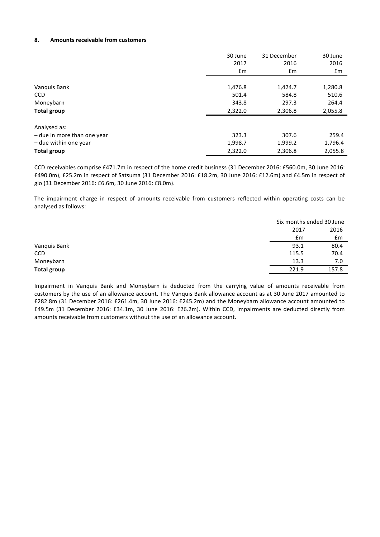## **8. Amounts receivable from customers**

|                             | 30 June | 31 December | 30 June |
|-----------------------------|---------|-------------|---------|
|                             | 2017    | 2016        | 2016    |
|                             | £m      | £m          | £m      |
|                             |         |             |         |
| Vanquis Bank                | 1,476.8 | 1,424.7     | 1,280.8 |
| <b>CCD</b>                  | 501.4   | 584.8       | 510.6   |
| Moneybarn                   | 343.8   | 297.3       | 264.4   |
| Total group                 | 2,322.0 | 2,306.8     | 2,055.8 |
| Analysed as:                |         |             |         |
| - due in more than one year | 323.3   | 307.6       | 259.4   |
| - due within one year       | 1,998.7 | 1,999.2     | 1,796.4 |
| <b>Total group</b>          | 2,322.0 | 2,306.8     | 2,055.8 |

CCD receivables comprise £471.7m in respect of the home credit business (31 December 2016: £560.0m, 30 June 2016: £490.0m), £25.2m in respect of Satsuma (31 December 2016: £18.2m, 30 June 2016: £12.6m) and £4.5m in respect of glo (31 December 2016: £6.6m, 30 June 2016: £8.0m).

The impairment charge in respect of amounts receivable from customers reflected within operating costs can be analysed as follows:

|              |       | Six months ended 30 June |
|--------------|-------|--------------------------|
|              | 2017  | 2016                     |
|              | £m    | £m                       |
| Vanquis Bank | 93.1  | 80.4                     |
| CCD          | 115.5 | 70.4                     |
| Moneybarn    | 13.3  | 7.0                      |
| Total group  | 221.9 | 157.8                    |

Impairment in Vanquis Bank and Moneybarn is deducted from the carrying value of amounts receivable from customers by the use of an allowance account. The Vanquis Bank allowance account as at 30 June 2017 amounted to £282.8m (31 December 2016: £261.4m, 30 June 2016: £245.2m) and the Moneybarn allowance account amounted to £49.5m (31 December 2016: £34.1m, 30 June 2016: £26.2m). Within CCD, impairments are deducted directly from amounts receivable from customers without the use of an allowance account.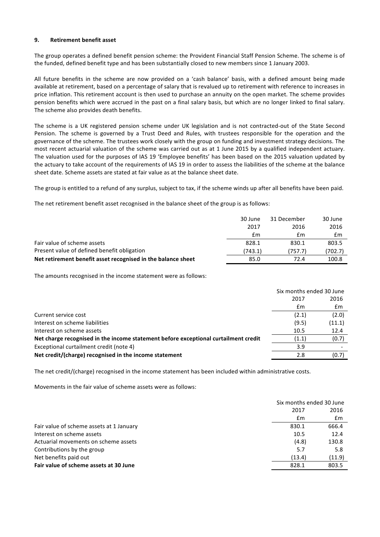## **9. Retirement benefit asset**

The group operates a defined benefit pension scheme: the Provident Financial Staff Pension Scheme. The scheme is of the funded, defined benefit type and has been substantially closed to new members since 1 January 2003.

All future benefits in the scheme are now provided on a 'cash balance' basis, with a defined amount being made available at retirement, based on a percentage of salary that is revalued up to retirement with reference to increases in price inflation. This retirement account is then used to purchase an annuity on the open market. The scheme provides pension benefits which were accrued in the past on a final salary basis, but which are no longer linked to final salary. The scheme also provides death benefits.

The scheme is a UK registered pension scheme under UK legislation and is not contracted-out of the State Second Pension. The scheme is governed by a Trust Deed and Rules, with trustees responsible for the operation and the governance of the scheme. The trustees work closely with the group on funding and investment strategy decisions. The most recent actuarial valuation of the scheme was carried out as at 1 June 2015 by a qualified independent actuary. The valuation used for the purposes of IAS 19 'Employee benefits' has been based on the 2015 valuation updated by the actuary to take account of the requirements of IAS 19 in order to assess the liabilities of the scheme at the balance sheet date. Scheme assets are stated at fair value as at the balance sheet date.

The group is entitled to a refund of any surplus, subject to tax, if the scheme winds up after all benefits have been paid.

The net retirement benefit asset recognised in the balance sheet of the group is as follows:

|                                                              | 30 June | 31 December | 30 June |
|--------------------------------------------------------------|---------|-------------|---------|
|                                                              | 2017    | 2016        | 2016    |
|                                                              | £m      | £m          | £m      |
| Fair value of scheme assets                                  | 828.1   | 830.1       | 803.5   |
| Present value of defined benefit obligation                  | (743.1) | (757.7)     | (702.7) |
| Net retirement benefit asset recognised in the balance sheet | 85.0    | 72.4        | 100.8   |

The amounts recognised in the income statement were as follows:

|                                                                                     | Six months ended 30 June |        |
|-------------------------------------------------------------------------------------|--------------------------|--------|
|                                                                                     | 2017                     | 2016   |
|                                                                                     | £m                       | Em     |
| Current service cost                                                                | (2.1)                    | (2.0)  |
| Interest on scheme liabilities                                                      | (9.5)                    | (11.1) |
| Interest on scheme assets                                                           | 10.5                     | 12.4   |
| Net charge recognised in the income statement before exceptional curtailment credit | (1.1)                    | (0.7)  |
| Exceptional curtailment credit (note 4)                                             | 3.9                      |        |
| Net credit/(charge) recognised in the income statement                              | 2.8                      | (0.7)  |

The net credit/(charge) recognised in the income statement has been included within administrative costs.

Movements in the fair value of scheme assets were as follows:

|                                          | Six months ended 30 June |               |
|------------------------------------------|--------------------------|---------------|
|                                          | 2016<br>2017             |               |
|                                          | Em                       | $\mathsf{fm}$ |
| Fair value of scheme assets at 1 January | 666.4<br>830.1           |               |
| Interest on scheme assets                | 10.5                     | 12.4          |
| Actuarial movements on scheme assets     | (4.8)<br>130.8           |               |
| Contributions by the group               | 5.7                      | 5.8           |
| Net benefits paid out                    | (13.4)                   | (11.9)        |
| Fair value of scheme assets at 30 June   | 828.1<br>803.5           |               |
|                                          |                          |               |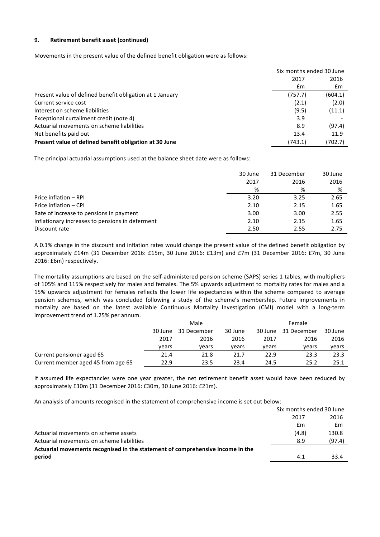# **9. Retirement benefit asset (continued)**

Movements in the present value of the defined benefit obligation were as follows:

|                                                          | Six months ended 30 June |         |
|----------------------------------------------------------|--------------------------|---------|
|                                                          | 2017                     | 2016    |
|                                                          | £m                       | £m      |
| Present value of defined benefit obligation at 1 January | (757.7)                  | (604.1) |
| Current service cost                                     | (2.1)                    | (2.0)   |
| Interest on scheme liabilities                           | (9.5)                    | (11.1)  |
| Exceptional curtailment credit (note 4)                  | 3.9                      |         |
| Actuarial movements on scheme liabilities                | 8.9                      | (97.4)  |
| Net benefits paid out                                    | 13.4                     | 11.9    |
| Present value of defined benefit obligation at 30 June   | (743.1)                  | (702.7) |

The principal actuarial assumptions used at the balance sheet date were as follows:

|                                                 | 30 June | 31 December | 30 June |
|-------------------------------------------------|---------|-------------|---------|
|                                                 | 2017    | 2016        | 2016    |
|                                                 | %       | %           | %       |
| Price inflation - RPI                           | 3.20    | 3.25        | 2.65    |
| Price inflation - CPI                           | 2.10    | 2.15        | 1.65    |
| Rate of increase to pensions in payment         | 3.00    | 3.00        | 2.55    |
| Inflationary increases to pensions in deferment | 2.10    | 2.15        | 1.65    |
| Discount rate                                   | 2.50    | 2.55        | 2.75    |

A 0.1% change in the discount and inflation rates would change the present value of the defined benefit obligation by approximately £14m (31 December 2016: £15m, 30 June 2016: £13m) and £7m (31 December 2016: £7m, 30 June 2016: £6m) respectively.

The mortality assumptions are based on the self-administered pension scheme (SAPS) series 1 tables, with multipliers of 105% and 115% respectively for males and females. The 5% upwards adjustment to mortality rates for males and a 15% upwards adjustment for females reflects the lower life expectancies within the scheme compared to average pension schemes, which was concluded following a study of the scheme's membership. Future improvements in mortality are based on the latest available Continuous Mortality Investigation (CMI) model with a long-term improvement trend of 1.25% per annum.

|                                    | Male  |                     |         | Female  |             |         |
|------------------------------------|-------|---------------------|---------|---------|-------------|---------|
|                                    |       | 30 June 31 December | 30 June | 30 June | 31 December | 30 June |
|                                    | 2017  | 2016                | 2016    | 2017    | 2016        | 2016    |
|                                    | vears | vears               | vears   | vears   | vears       | years   |
| Current pensioner aged 65          | 21.4  | 21.8                | 21.7    | 22.9    | 23.3        | 23.3    |
| Current member aged 45 from age 65 | 22.9  | 23.5                | 23.4    | 24.5    | 25.2        | 25.1    |

If assumed life expectancies were one year greater, the net retirement benefit asset would have been reduced by approximately £30m (31 December 2016: £30m, 30 June 2016: £21m).

An analysis of amounts recognised in the statement of comprehensive income is set out below:

|                                                                                | Six months ended 30 June |        |
|--------------------------------------------------------------------------------|--------------------------|--------|
|                                                                                | 2017                     | 2016   |
|                                                                                | £m                       | £m     |
| Actuarial movements on scheme assets                                           | (4.8)                    | 130.8  |
| Actuarial movements on scheme liabilities                                      | 8.9                      | (97.4) |
| Actuarial movements recognised in the statement of comprehensive income in the |                          |        |
| period                                                                         | 41                       | 33.4   |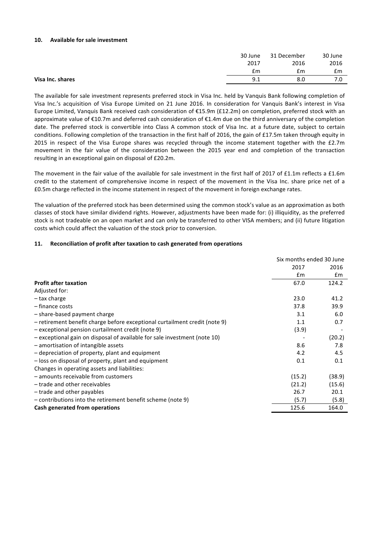## **10.** Available for sale investment

|                  | 30 June | 31 December | 30 June |
|------------------|---------|-------------|---------|
|                  | 2017    | 2016        | 2016    |
|                  | Em      | £m          | £m      |
| Visa Inc. shares | 9.1     | 8.0         | 7.0     |
|                  |         |             |         |

The available for sale investment represents preferred stock in Visa Inc. held by Vanquis Bank following completion of Visa Inc.'s acquisition of Visa Europe Limited on 21 June 2016. In consideration for Vanquis Bank's interest in Visa Europe Limited, Vanquis Bank received cash consideration of €15.9m (£12.2m) on completion, preferred stock with an approximate value of  $E10.7$ m and deferred cash consideration of  $E1.4$ m due on the third anniversary of the completion date. The preferred stock is convertible into Class A common stock of Visa Inc. at a future date, subject to certain conditions. Following completion of the transaction in the first half of 2016, the gain of £17.5m taken through equity in 2015 in respect of the Visa Europe shares was recycled through the income statement together with the £2.7m movement in the fair value of the consideration between the 2015 year end and completion of the transaction resulting in an exceptional gain on disposal of £20.2m.

The movement in the fair value of the available for sale investment in the first half of 2017 of £1.1m reflects a £1.6m credit to the statement of comprehensive income in respect of the movement in the Visa Inc. share price net of a £0.5m charge reflected in the income statement in respect of the movement in foreign exchange rates.

The valuation of the preferred stock has been determined using the common stock's value as an approximation as both classes of stock have similar dividend rights. However, adjustments have been made for: (i) illiquidity, as the preferred stock is not tradeable on an open market and can only be transferred to other VISA members; and (ii) future litigation costs which could affect the valuation of the stock prior to conversion.

# **11.** Reconciliation of profit after taxation to cash generated from operations

|                                                                            | Six months ended 30 June |        |  |
|----------------------------------------------------------------------------|--------------------------|--------|--|
|                                                                            | 2017                     | 2016   |  |
|                                                                            | £m                       | Em     |  |
| <b>Profit after taxation</b>                                               | 67.0                     | 124.2  |  |
| Adjusted for:                                                              |                          |        |  |
| - tax charge                                                               | 23.0                     | 41.2   |  |
| - finance costs                                                            | 37.8                     | 39.9   |  |
| - share-based payment charge                                               | 3.1                      | 6.0    |  |
| - retirement benefit charge before exceptional curtailment credit (note 9) | 1.1                      | 0.7    |  |
| - exceptional pension curtailment credit (note 9)                          | (3.9)                    |        |  |
| - exceptional gain on disposal of available for sale investment (note 10)  |                          | (20.2) |  |
| - amortisation of intangible assets                                        | 8.6                      | 7.8    |  |
| - depreciation of property, plant and equipment                            | 4.2                      | 4.5    |  |
| - loss on disposal of property, plant and equipment                        | 0.1                      | 0.1    |  |
| Changes in operating assets and liabilities:                               |                          |        |  |
| - amounts receivable from customers                                        | (15.2)                   | (38.9) |  |
| - trade and other receivables                                              | (21.2)                   | (15.6) |  |
| - trade and other payables                                                 | 26.7                     | 20.1   |  |
| - contributions into the retirement benefit scheme (note 9)                | (5.7)                    | (5.8)  |  |
| Cash generated from operations                                             | 125.6                    | 164.0  |  |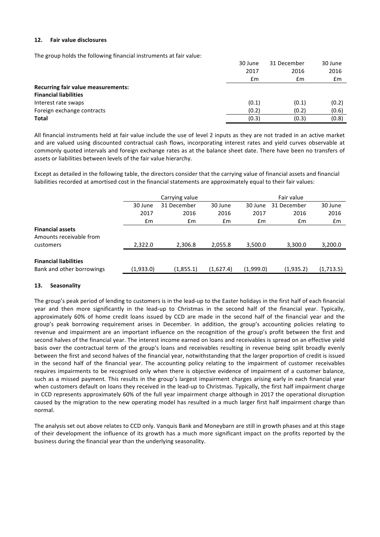## **12. Fair value disclosures**

The group holds the following financial instruments at fair value:

|                                           | 30 June | 31 December | 30 June |
|-------------------------------------------|---------|-------------|---------|
|                                           | 2017    | 2016        | 2016    |
|                                           | £m      | Em          | Em      |
| <b>Recurring fair value measurements:</b> |         |             |         |
| <b>Financial liabilities</b>              |         |             |         |
| Interest rate swaps                       | (0.1)   | (0.1)       | (0.2)   |
| Foreign exchange contracts                | (0.2)   | (0.2)       | (0.6)   |
| <b>Total</b>                              | (0.3)   | (0.3)       | (0.8)   |

All financial instruments held at fair value include the use of level 2 inputs as they are not traded in an active market and are valued using discounted contractual cash flows, incorporating interest rates and yield curves observable at commonly quoted intervals and foreign exchange rates as at the balance sheet date. There have been no transfers of assets or liabilities between levels of the fair value hierarchy.

Except as detailed in the following table, the directors consider that the carrying value of financial assets and financial liabilities recorded at amortised cost in the financial statements are approximately equal to their fair values:

|                                                    | Carrying value |             |           | Fair value |             |           |
|----------------------------------------------------|----------------|-------------|-----------|------------|-------------|-----------|
|                                                    | 30 June        | 31 December | 30 June   | 30 June    | 31 December | 30 June   |
|                                                    | 2017           | 2016        | 2016      | 2017       | 2016        | 2016      |
|                                                    | £m             | Em          | £m        | £m         | Em          | £m        |
| <b>Financial assets</b><br>Amounts receivable from |                |             |           |            |             |           |
| customers                                          | 2,322.0        | 2,306.8     | 2,055.8   | 3,500.0    | 3,300.0     | 3,200.0   |
| <b>Financial liabilities</b>                       |                |             |           |            |             |           |
| Bank and other borrowings                          | (1,933.0)      | (1,855.1)   | (1,627.4) | (1,999.0)  | (1,935.2)   | (1,713.5) |

# **13. Seasonality**

The group's peak period of lending to customers is in the lead-up to the Easter holidays in the first half of each financial year and then more significantly in the lead-up to Christmas in the second half of the financial year. Typically, approximately 60% of home credit loans issued by CCD are made in the second half of the financial year and the group's peak borrowing requirement arises in December. In addition, the group's accounting policies relating to revenue and impairment are an important influence on the recognition of the group's profit between the first and second halves of the financial vear. The interest income earned on loans and receivables is spread on an effective vield basis over the contractual term of the group's loans and receivables resulting in revenue being split broadly evenly between the first and second halves of the financial year, notwithstanding that the larger proportion of credit is issued in the second half of the financial year. The accounting policy relating to the impairment of customer receivables requires impairments to be recognised only when there is objective evidence of impairment of a customer balance, such as a missed payment. This results in the group's largest impairment charges arising early in each financial year when customers default on loans they received in the lead-up to Christmas. Typically, the first half impairment charge in CCD represents approximately 60% of the full year impairment charge although in 2017 the operational disruption caused by the migration to the new operating model has resulted in a much larger first half impairment charge than normal.

The analysis set out above relates to CCD only. Vanquis Bank and Moneybarn are still in growth phases and at this stage of their development the influence of its growth has a much more significant impact on the profits reported by the business during the financial year than the underlying seasonality.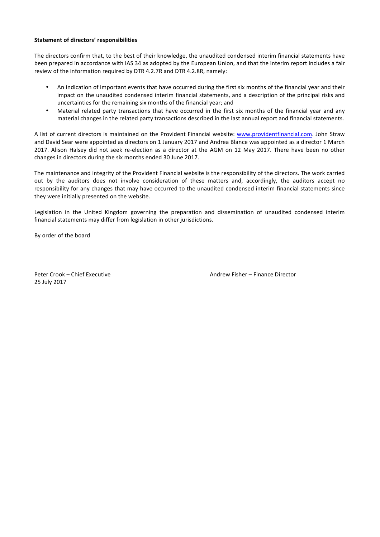## **Statement of directors' responsibilities**

The directors confirm that, to the best of their knowledge, the unaudited condensed interim financial statements have been prepared in accordance with IAS 34 as adopted by the European Union, and that the interim report includes a fair review of the information required by DTR 4.2.7R and DTR 4.2.8R, namely:

- An indication of important events that have occurred during the first six months of the financial year and their impact on the unaudited condensed interim financial statements, and a description of the principal risks and uncertainties for the remaining six months of the financial year; and
- Material related party transactions that have occurred in the first six months of the financial year and any material changes in the related party transactions described in the last annual report and financial statements.

A list of current directors is maintained on the Provident Financial website: www.providentfinancial.com. John Straw and David Sear were appointed as directors on 1 January 2017 and Andrea Blance was appointed as a director 1 March 2017. Alison Halsey did not seek re-election as a director at the AGM on 12 May 2017. There have been no other changes in directors during the six months ended 30 June 2017.

The maintenance and integrity of the Provident Financial website is the responsibility of the directors. The work carried out by the auditors does not involve consideration of these matters and, accordingly, the auditors accept no responsibility for any changes that may have occurred to the unaudited condensed interim financial statements since they were initially presented on the website.

Legislation in the United Kingdom governing the preparation and dissemination of unaudited condensed interim financial statements may differ from legislation in other jurisdictions.

By order of the board

25 July 2017

Peter Crook – Chief Executive Andrew Fisher – Finance Director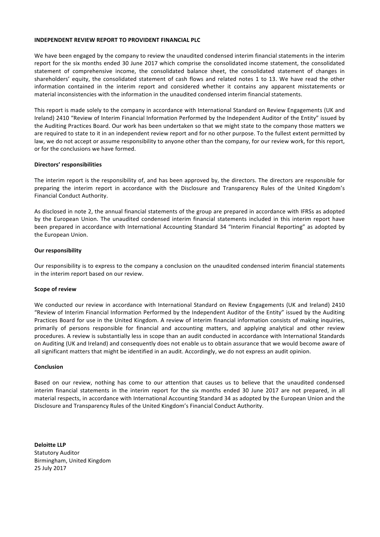## **INDEPENDENT REVIEW REPORT TO PROVIDENT FINANCIAL PLC**

We have been engaged by the company to review the unaudited condensed interim financial statements in the interim report for the six months ended 30 June 2017 which comprise the consolidated income statement, the consolidated statement of comprehensive income, the consolidated balance sheet, the consolidated statement of changes in shareholders' equity, the consolidated statement of cash flows and related notes 1 to 13. We have read the other information contained in the interim report and considered whether it contains any apparent misstatements or material inconsistencies with the information in the unaudited condensed interim financial statements.

This report is made solely to the company in accordance with International Standard on Review Engagements (UK and Ireland) 2410 "Review of Interim Financial Information Performed by the Independent Auditor of the Entity" issued by the Auditing Practices Board. Our work has been undertaken so that we might state to the company those matters we are required to state to it in an independent review report and for no other purpose. To the fullest extent permitted by law, we do not accept or assume responsibility to anyone other than the company, for our review work, for this report, or for the conclusions we have formed.

## **Directors' responsibilities**

The interim report is the responsibility of, and has been approved by, the directors. The directors are responsible for preparing the interim report in accordance with the Disclosure and Transparency Rules of the United Kingdom's Financial Conduct Authority.

As disclosed in note 2, the annual financial statements of the group are prepared in accordance with IFRSs as adopted by the European Union. The unaudited condensed interim financial statements included in this interim report have been prepared in accordance with International Accounting Standard 34 "Interim Financial Reporting" as adopted by the European Union.

#### **Our responsibility**

Our responsibility is to express to the company a conclusion on the unaudited condensed interim financial statements in the interim report based on our review.

#### **Scope of review**

We conducted our review in accordance with International Standard on Review Engagements (UK and Ireland) 2410 "Review of Interim Financial Information Performed by the Independent Auditor of the Entity" issued by the Auditing Practices Board for use in the United Kingdom. A review of interim financial information consists of making inquiries, primarily of persons responsible for financial and accounting matters, and applying analytical and other review procedures. A review is substantially less in scope than an audit conducted in accordance with International Standards on Auditing (UK and Ireland) and consequently does not enable us to obtain assurance that we would become aware of all significant matters that might be identified in an audit. Accordingly, we do not express an audit opinion.

#### **Conclusion**

Based on our review, nothing has come to our attention that causes us to believe that the unaudited condensed interim financial statements in the interim report for the six months ended 30 June 2017 are not prepared, in all material respects, in accordance with International Accounting Standard 34 as adopted by the European Union and the Disclosure and Transparency Rules of the United Kingdom's Financial Conduct Authority.

**Deloitte LLP** Statutory Auditor Birmingham, United Kingdom 25 July 2017